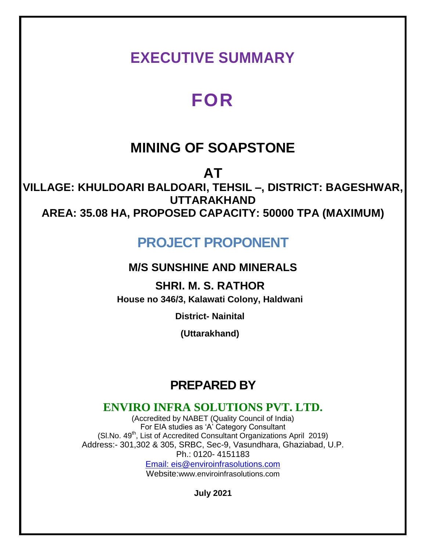## **EXECUTIVE SUMMARY**

# **FOR**

## **MINING OF SOAPSTONE**

**AT**

**VILLAGE: KHULDOARI BALDOARI, TEHSIL –, DISTRICT: BAGESHWAR, UTTARAKHAND AREA: 35.08 HA, PROPOSED CAPACITY: 50000 TPA (MAXIMUM)**

## **PROJECT PROPONENT**

### **M/S SUNSHINE AND MINERALS**

**SHRI. M. S. RATHOR House no 346/3, Kalawati Colony, Haldwani**

**District- Nainital**

**(Uttarakhand)**

### **PREPARED BY**

### **ENVIRO INFRA SOLUTIONS PVT. LTD.**

(Accredited by NABET (Quality Council of India) For EIA studies as 'A' Category Consultant (Sl.No. 49<sup>th</sup>, List of Accredited Consultant Organizations April 2019) Address:- 301,302 & 305, SRBC, Sec-9, Vasundhara, Ghaziabad, U.P. Ph.: 0120- 4151183 Email: eis@enviroinfrasolutions.com

Website:www.enviroinfrasolutions.com

**July 2021**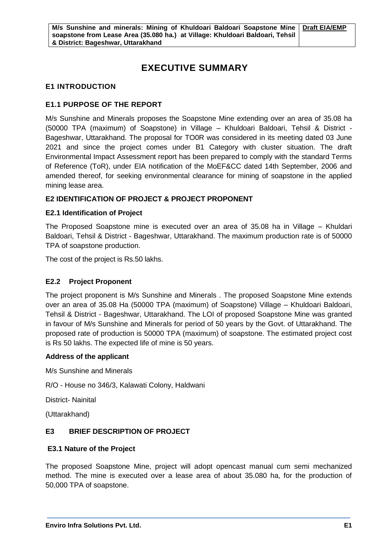### **EXECUTIVE SUMMARY**

#### **E1 INTRODUCTION**

#### **E1.1 PURPOSE OF THE REPORT**

M/s Sunshine and Minerals proposes the Soapstone Mine extending over an area of 35.08 ha (50000 TPA (maximum) of Soapstone) in Village – Khuldoari Baldoari, Tehsil & District - Bageshwar, Uttarakhand. The proposal for TO0R was considered in its meeting dated 03 June 2021 and since the project comes under B1 Category with cluster situation. The draft Environmental Impact Assessment report has been prepared to comply with the standard Terms of Reference (ToR), under EIA notification of the MoEF&CC dated 14th September, 2006 and amended thereof, for seeking environmental clearance for mining of soapstone in the applied mining lease area.

#### **E2 IDENTIFICATION OF PROJECT & PROJECT PROPONENT**

#### **E2.1 Identification of Project**

The Proposed Soapstone mine is executed over an area of 35.08 ha in Village – Khuldari Baldoari, Tehsil & District - Bageshwar, Uttarakhand. The maximum production rate is of 50000 TPA of soapstone production.

The cost of the project is Rs.50 lakhs.

#### **E2.2 Project Proponent**

The project proponent is M/s Sunshine and Minerals . The proposed Soapstone Mine extends over an area of 35.08 Ha (50000 TPA (maximum) of Soapstone) Village – Khuldoari Baldoari, Tehsil & District - Bageshwar, Uttarakhand. The LOI of proposed Soapstone Mine was granted in favour of M/s Sunshine and Minerals for period of 50 years by the Govt. of Uttarakhand. The proposed rate of production is 50000 TPA (maximum) of soapstone. The estimated project cost is Rs 50 lakhs. The expected life of mine is 50 years.

#### **Address of the applicant**

M/s Sunshine and Minerals

R/O - House no 346/3, Kalawati Colony, Haldwani

District- Nainital

(Uttarakhand)

#### **E3 BRIEF DESCRIPTION OF PROJECT**

#### **E3.1 Nature of the Project**

The proposed Soapstone Mine, project will adopt opencast manual cum semi mechanized method. The mine is executed over a lease area of about 35.080 ha, for the production of 50,000 TPA of soapstone.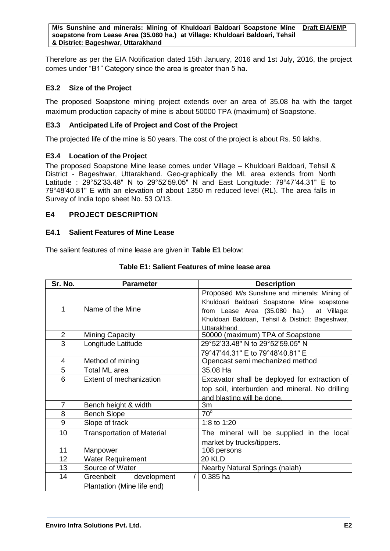Therefore as per the EIA Notification dated 15th January, 2016 and 1st July, 2016, the project comes under "B1" Category since the area is greater than 5 ha.

#### **E3.2 Size of the Project**

The proposed Soapstone mining project extends over an area of 35.08 ha with the target maximum production capacity of mine is about 50000 TPA (maximum) of Soapstone.

#### **E3.3 Anticipated Life of Project and Cost of the Project**

The projected life of the mine is 50 years. The cost of the project is about Rs. 50 lakhs.

#### **E3.4 Location of the Project**

The proposed Soapstone Mine lease comes under Village – Khuldoari Baldoari, Tehsil & District - Bageshwar, Uttarakhand. Geo-graphically the ML area extends from North Latitude : 29°52'33.48" N to 29°52'59.05" N and East Longitude: 79°47'44.31" E to 79°48'40.81" E with an elevation of about 1350 m reduced level (RL). The area falls in Survey of India topo sheet No. 53 O/13.

#### **E4 PROJECT DESCRIPTION**

#### **E4.1 Salient Features of Mine Lease**

The salient features of mine lease are given in **Table E1** below:

| Sr. No.        | <b>Parameter</b>                          | <b>Description</b>                                |  |
|----------------|-------------------------------------------|---------------------------------------------------|--|
|                |                                           | Proposed M/s Sunshine and minerals: Mining of     |  |
|                |                                           | Khuldoari Baldoari Soapstone Mine soapstone       |  |
| 1              | Name of the Mine                          | from Lease Area (35.080 ha.) at Village:          |  |
|                |                                           | Khuldoari Baldoari, Tehsil & District: Bageshwar, |  |
|                |                                           | Uttarakhand                                       |  |
| 2              | Mining Capacity                           | 50000 (maximum) TPA of Soapstone                  |  |
| $\overline{3}$ | Longitude Latitude                        | 29°52'33.48" N to 29°52'59.05" N                  |  |
|                |                                           | 79°47'44.31" E to 79°48'40.81" E                  |  |
| 4              | Method of mining                          | Opencast semi mechanized method                   |  |
| 5              | Total ML area                             | 35.08 Ha                                          |  |
| 6              | Extent of mechanization                   | Excavator shall be deployed for extraction of     |  |
|                |                                           | top soil, interburden and mineral. No drilling    |  |
|                |                                           | and blasting will be done.                        |  |
| $\overline{7}$ | Bench height & width                      | 3m                                                |  |
| 8              | <b>Bench Slope</b>                        | $70^\circ$                                        |  |
| 9              | Slope of track                            | 1:8 to 1:20                                       |  |
| 10             | <b>Transportation of Material</b>         | The mineral will be supplied in the local         |  |
|                |                                           | market by trucks/tippers.                         |  |
| 11             | Manpower<br>108 persons                   |                                                   |  |
| 12             | <b>Water Requirement</b><br><b>20 KLD</b> |                                                   |  |
| 13             | Source of Water                           | Nearby Natural Springs (nalah)                    |  |
| 14             | Greenbelt development                     | 0.385 ha                                          |  |
|                | Plantation (Mine life end)                |                                                   |  |

#### **Table E1: Salient Features of mine lease area**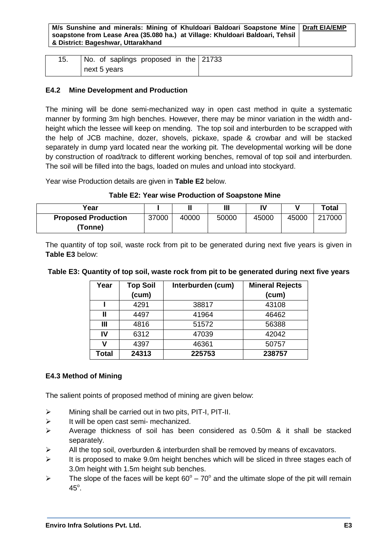**M/s Sunshine and minerals: Mining of Khuldoari Baldoari Soapstone Mine soapstone from Lease Area (35.080 ha.) at Village: Khuldoari Baldoari, Tehsil & District: Bageshwar, Uttarakhand Draft EIA/EMP**

| 15. | No. of saplings proposed in the 21733 |  |
|-----|---------------------------------------|--|
|     | next 5 years                          |  |

#### **E4.2 Mine Development and Production**

The mining will be done semi-mechanized way in open cast method in quite a systematic manner by forming 3m high benches. However, there may be minor variation in the width andheight which the lessee will keep on mending. The top soil and interburden to be scrapped with the help of JCB machine, dozer, shovels, pickaxe, spade & crowbar and will be stacked separately in dump yard located near the working pit. The developmental working will be done by construction of road/track to different working benches, removal of top soil and interburden. The soil will be filled into the bags, loaded on mules and unload into stockyard.

Year wise Production details are given in **Table E2** below.

**Table E2: Year wise Production of Soapstone Mine**

| Year                       |       |       | $\mathbf{III}$ |       |       | <b>Total</b> |
|----------------------------|-------|-------|----------------|-------|-------|--------------|
| <b>Proposed Production</b> | 37000 | 40000 | 50000          | 45000 | 45000 | 217000       |
| <b>(Tonne)</b>             |       |       |                |       |       |              |

The quantity of top soil, waste rock from pit to be generated during next five years is given in **Table E3** below:

| Year  | <b>Top Soil</b> | Interburden (cum) | <b>Mineral Rejects</b> |
|-------|-----------------|-------------------|------------------------|
|       | (cum)           |                   | (cum)                  |
|       | 4291            | 38817             | 43108                  |
| Ш     | 4497            | 41964             | 46462                  |
| Ш     | 4816            | 51572             | 56388                  |
| IV    | 6312            | 47039             | 42042                  |
| v     | 4397            | 46361             | 50757                  |
| Total | 24313           | 225753            | 238757                 |

#### **Table E3: Quantity of top soil, waste rock from pit to be generated during next five years**

#### **E4.3 Method of Mining**

The salient points of proposed method of mining are given below:

- $\triangleright$  Mining shall be carried out in two pits, PIT-I, PIT-II.
- $\triangleright$  It will be open cast semi- mechanized.
- Average thickness of soil has been considered as 0.50m & it shall be stacked separately.
- $\triangleright$  All the top soil, overburden & interburden shall be removed by means of excavators.
- $\triangleright$  It is proposed to make 9.0m height benches which will be sliced in three stages each of 3.0m height with 1.5m height sub benches.
- $\triangleright$  The slope of the faces will be kept 60° 70° and the ultimate slope of the pit will remain  $45^\circ$ .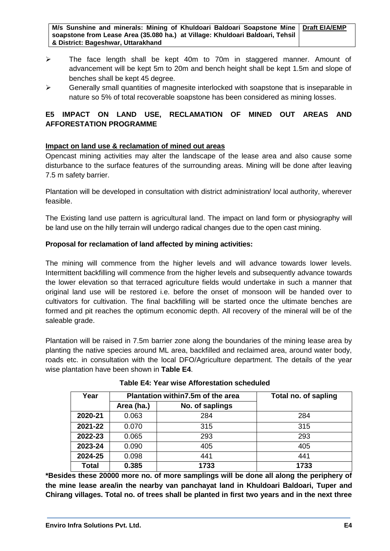**M/s Sunshine and minerals: Mining of Khuldoari Baldoari Soapstone Mine soapstone from Lease Area (35.080 ha.) at Village: Khuldoari Baldoari, Tehsil & District: Bageshwar, Uttarakhand Draft EIA/EMP**

- $\triangleright$  The face length shall be kept 40m to 70m in staggered manner. Amount of advancement will be kept 5m to 20m and bench height shall be kept 1.5m and slope of benches shall be kept 45 degree.
- $\triangleright$  Generally small quantities of magnesite interlocked with soapstone that is inseparable in nature so 5% of total recoverable soapstone has been considered as mining losses.

#### **E5 IMPACT ON LAND USE, RECLAMATION OF MINED OUT AREAS AND AFFORESTATION PROGRAMME**

#### **Impact on land use & reclamation of mined out areas**

Opencast mining activities may alter the landscape of the lease area and also cause some disturbance to the surface features of the surrounding areas. Mining will be done after leaving 7.5 m safety barrier.

Plantation will be developed in consultation with district administration/ local authority, wherever feasible.

The Existing land use pattern is agricultural land. The impact on land form or physiography will be land use on the hilly terrain will undergo radical changes due to the open cast mining.

#### **Proposal for reclamation of land affected by mining activities:**

The mining will commence from the higher levels and will advance towards lower levels. Intermittent backfilling will commence from the higher levels and subsequently advance towards the lower elevation so that terraced agriculture fields would undertake in such a manner that original land use will be restored i.e. before the onset of monsoon will be handed over to cultivators for cultivation. The final backfilling will be started once the ultimate benches are formed and pit reaches the optimum economic depth. All recovery of the mineral will be of the saleable grade.

Plantation will be raised in 7.5m barrier zone along the boundaries of the mining lease area by planting the native species around ML area, backfilled and reclaimed area, around water body, roads etc. in consultation with the local DFO/Agriculture department. The details of the year wise plantation have been shown in **Table E4**.

| Year         | Plantation within 7.5m of the area |                 | Total no. of sapling |
|--------------|------------------------------------|-----------------|----------------------|
|              | Area (ha.)                         | No. of saplings |                      |
| 2020-21      | 0.063                              | 284             | 284                  |
| 2021-22      | 0.070                              | 315             | 315                  |
| 2022-23      | 0.065                              | 293             | 293                  |
| 2023-24      | 0.090                              | 405             | 405                  |
| 2024-25      | 0.098                              | 441             | 441                  |
| <b>Total</b> | 0.385                              | 1733            | 1733                 |

**Table E4: Year wise Afforestation scheduled**

**\*Besides these 20000 more no. of more samplings will be done all along the periphery of the mine lease area/in the nearby van panchayat land in Khuldoari Baldoari, Tuper and Chirang villages. Total no. of trees shall be planted in first two years and in the next three**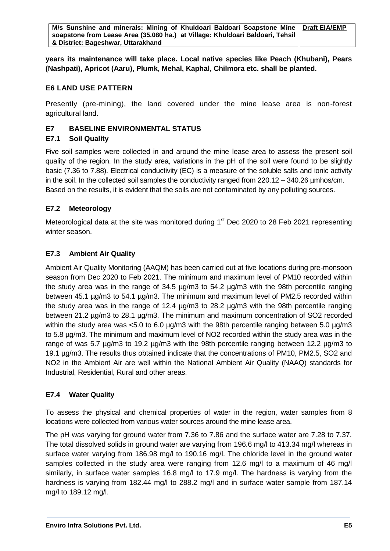**years its maintenance will take place. Local native species like Peach (Khubani), Pears (Nashpati), Apricot (Aaru), Plumk, Mehal, Kaphal, Chilmora etc. shall be planted.**

#### **E6 LAND USE PATTERN**

Presently (pre-mining), the land covered under the mine lease area is non-forest agricultural land.

#### **E7 BASELINE ENVIRONMENTAL STATUS**

#### **E7.1 Soil Quality**

Five soil samples were collected in and around the mine lease area to assess the present soil quality of the region. In the study area, variations in the pH of the soil were found to be slightly basic (7.36 to 7.88). Electrical conductivity (EC) is a measure of the soluble salts and ionic activity in the soil. In the collected soil samples the conductivity ranged from 220.12 – 340.26 µmhos/cm. Based on the results, it is evident that the soils are not contaminated by any polluting sources.

#### **E7.2 Meteorology**

Meteorological data at the site was monitored during 1<sup>st</sup> Dec 2020 to 28 Feb 2021 representing winter season.

#### **E7.3 Ambient Air Quality**

Ambient Air Quality Monitoring (AAQM) has been carried out at five locations during pre-monsoon season from Dec 2020 to Feb 2021. The minimum and maximum level of PM10 recorded within the study area was in the range of 34.5 µg/m3 to 54.2 µg/m3 with the 98th percentile ranging between 45.1 µg/m3 to 54.1 µg/m3. The minimum and maximum level of PM2.5 recorded within the study area was in the range of 12.4 µg/m3 to 28.2 µg/m3 with the 98th percentile ranging between 21.2 µg/m3 to 28.1 µg/m3. The minimum and maximum concentration of SO2 recorded within the study area was  $< 5.0$  to 6.0  $\mu$ g/m3 with the 98th percentile ranging between 5.0  $\mu$ g/m3 to 5.8 µg/m3. The minimum and maximum level of NO2 recorded within the study area was in the range of was 5.7 µg/m3 to 19.2 µg/m3 with the 98th percentile ranging between 12.2 µg/m3 to 19.1 µg/m3. The results thus obtained indicate that the concentrations of PM10, PM2.5, SO2 and NO2 in the Ambient Air are well within the National Ambient Air Quality (NAAQ) standards for Industrial, Residential, Rural and other areas.

#### **E7.4 Water Quality**

To assess the physical and chemical properties of water in the region, water samples from 8 locations were collected from various water sources around the mine lease area.

The pH was varying for ground water from 7.36 to 7.86 and the surface water are 7.28 to 7.37. The total dissolved solids in ground water are varying from 196.6 mg/l to 413.34 mg/l whereas in surface water varying from 186.98 mg/l to 190.16 mg/l. The chloride level in the ground water samples collected in the study area were ranging from 12.6 mg/l to a maximum of 46 mg/l similarly, in surface water samples 16.8 mg/l to 17.9 mg/l. The hardness is varying from the hardness is varying from 182.44 mg/l to 288.2 mg/l and in surface water sample from 187.14 mg/l to 189.12 mg/l.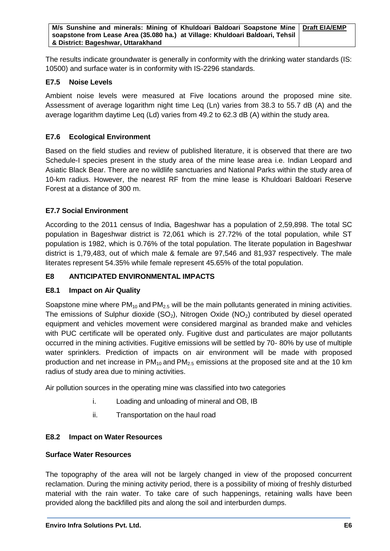The results indicate groundwater is generally in conformity with the drinking water standards (IS: 10500) and surface water is in conformity with IS-2296 standards.

#### **E7.5 Noise Levels**

Ambient noise levels were measured at Five locations around the proposed mine site. Assessment of average logarithm night time Leq (Ln) varies from 38.3 to 55.7 dB (A) and the average logarithm daytime Leq (Ld) varies from 49.2 to 62.3 dB (A) within the study area.

#### **E7.6 Ecological Environment**

Based on the field studies and review of published literature, it is observed that there are two Schedule-I species present in the study area of the mine lease area i.e. Indian Leopard and Asiatic Black Bear. There are no wildlife sanctuaries and National Parks within the study area of 10-km radius. However, the nearest RF from the mine lease is Khuldoari Baldoari Reserve Forest at a distance of 300 m.

#### **E7.7 Social Environment**

According to the 2011 census of India, Bageshwar has a population of 2,59,898. The total SC population in Bageshwar district is 72,061 which is 27.72% of the total population, while ST population is 1982, which is 0.76% of the total population. The literate population in Bageshwar district is 1,79,483, out of which male & female are 97,546 and 81,937 respectively. The male literates represent 54.35% while female represent 45.65% of the total population.

#### **E8 ANTICIPATED ENVIRONMENTAL IMPACTS**

#### **E8.1 Impact on Air Quality**

Soapstone mine where  $PM_{10}$  and  $PM_{2.5}$  will be the main pollutants generated in mining activities. The emissions of Sulphur dioxide  $(SO_2)$ , Nitrogen Oxide  $(NO_2)$  contributed by diesel operated equipment and vehicles movement were considered marginal as branded make and vehicles with PUC certificate will be operated only. Fugitive dust and particulates are major pollutants occurred in the mining activities. Fugitive emissions will be settled by 70- 80% by use of multiple water sprinklers. Prediction of impacts on air environment will be made with proposed production and net increase in  $PM_{10}$  and  $PM_{2.5}$  emissions at the proposed site and at the 10 km radius of study area due to mining activities.

Air pollution sources in the operating mine was classified into two categories

- i. Loading and unloading of mineral and OB, IB
- ii. Transportation on the haul road

#### **E8.2 Impact on Water Resources**

#### **Surface Water Resources**

The topography of the area will not be largely changed in view of the proposed concurrent reclamation. During the mining activity period, there is a possibility of mixing of freshly disturbed material with the rain water. To take care of such happenings, retaining walls have been provided along the backfilled pits and along the soil and interburden dumps.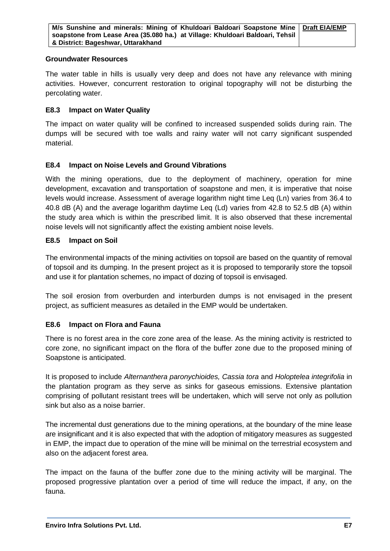#### **Groundwater Resources**

The water table in hills is usually very deep and does not have any relevance with mining activities. However, concurrent restoration to original topography will not be disturbing the percolating water.

#### **E8.3 Impact on Water Quality**

The impact on water quality will be confined to increased suspended solids during rain. The dumps will be secured with toe walls and rainy water will not carry significant suspended material.

#### **E8.4 Impact on Noise Levels and Ground Vibrations**

With the mining operations, due to the deployment of machinery, operation for mine development, excavation and transportation of soapstone and men, it is imperative that noise levels would increase. Assessment of average logarithm night time Leq (Ln) varies from 36.4 to 40.8 dB (A) and the average logarithm daytime Leq (Ld) varies from 42.8 to 52.5 dB (A) within the study area which is within the prescribed limit. It is also observed that these incremental noise levels will not significantly affect the existing ambient noise levels.

#### **E8.5 Impact on Soil**

The environmental impacts of the mining activities on topsoil are based on the quantity of removal of topsoil and its dumping. In the present project as it is proposed to temporarily store the topsoil and use it for plantation schemes, no impact of dozing of topsoil is envisaged.

The soil erosion from overburden and interburden dumps is not envisaged in the present project, as sufficient measures as detailed in the EMP would be undertaken.

#### **E8.6 Impact on Flora and Fauna**

There is no forest area in the core zone area of the lease. As the mining activity is restricted to core zone, no significant impact on the flora of the buffer zone due to the proposed mining of Soapstone is anticipated.

It is proposed to include *Alternanthera paronychioides, Cassia tora* and *Holoptelea integrifolia* in the plantation program as they serve as sinks for gaseous emissions. Extensive plantation comprising of pollutant resistant trees will be undertaken, which will serve not only as pollution sink but also as a noise barrier.

The incremental dust generations due to the mining operations, at the boundary of the mine lease are insignificant and it is also expected that with the adoption of mitigatory measures as suggested in EMP, the impact due to operation of the mine will be minimal on the terrestrial ecosystem and also on the adjacent forest area.

The impact on the fauna of the buffer zone due to the mining activity will be marginal. The proposed progressive plantation over a period of time will reduce the impact, if any, on the fauna.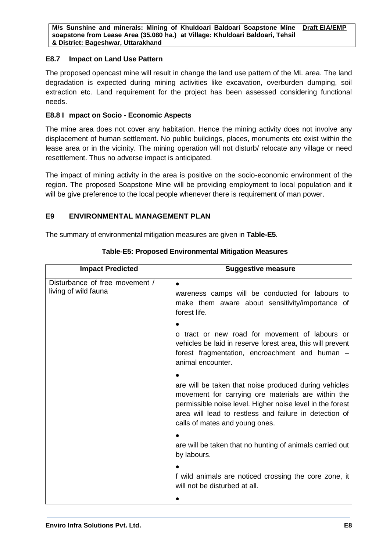#### **E8.7 Impact on Land Use Pattern**

The proposed opencast mine will result in change the land use pattern of the ML area. The land degradation is expected during mining activities like excavation, overburden dumping, soil extraction etc. Land requirement for the project has been assessed considering functional needs.

#### **E8.8 I mpact on Socio - Economic Aspects**

The mine area does not cover any habitation. Hence the mining activity does not involve any displacement of human settlement. No public buildings, places, monuments etc exist within the lease area or in the vicinity. The mining operation will not disturb/ relocate any village or need resettlement. Thus no adverse impact is anticipated.

The impact of mining activity in the area is positive on the socio-economic environment of the region. The proposed Soapstone Mine will be providing employment to local population and it will be give preference to the local people whenever there is requirement of man power.

#### **E9 ENVIRONMENTAL MANAGEMENT PLAN**

The summary of environmental mitigation measures are given in **Table-E5**.

| <b>Impact Predicted</b>                                | <b>Suggestive measure</b>                                                                                                                                                                                                                                            |
|--------------------------------------------------------|----------------------------------------------------------------------------------------------------------------------------------------------------------------------------------------------------------------------------------------------------------------------|
| Disturbance of free movement /<br>living of wild fauna | wareness camps will be conducted for labours to<br>make them aware about sensitivity/importance of<br>forest life.                                                                                                                                                   |
|                                                        | o tract or new road for movement of labours or<br>vehicles be laid in reserve forest area, this will prevent<br>forest fragmentation, encroachment and human -<br>animal encounter.                                                                                  |
|                                                        | are will be taken that noise produced during vehicles<br>movement for carrying ore materials are within the<br>permissible noise level. Higher noise level in the forest<br>area will lead to restless and failure in detection of<br>calls of mates and young ones. |
|                                                        | are will be taken that no hunting of animals carried out<br>by labours.                                                                                                                                                                                              |
|                                                        | f wild animals are noticed crossing the core zone, it<br>will not be disturbed at all.                                                                                                                                                                               |
|                                                        |                                                                                                                                                                                                                                                                      |

**Table-E5: Proposed Environmental Mitigation Measures**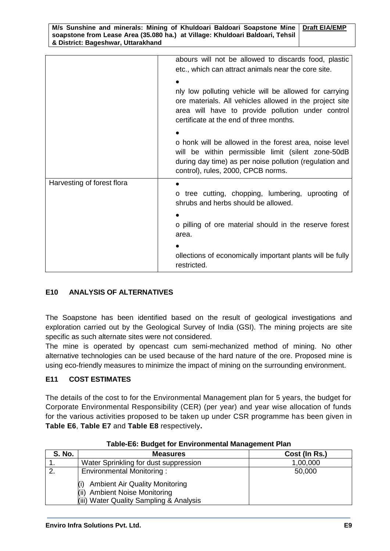| M/s Sunshine and minerals: Mining of Khuldoari Baldoari Soapstone Mine   Draft EIA/EMP |  |
|----------------------------------------------------------------------------------------|--|
| soapstone from Lease Area (35.080 ha.) at Village: Khuldoari Baldoari, Tehsil          |  |
| & District: Bageshwar, Uttarakhand                                                     |  |

|                            | abours will not be allowed to discards food, plastic<br>etc., which can attract animals near the core site.<br>nly low polluting vehicle will be allowed for carrying<br>ore materials. All vehicles allowed in the project site<br>area will have to provide pollution under control<br>certificate at the end of three months.<br>o honk will be allowed in the forest area, noise level<br>will be within permissible limit (silent zone-50dB<br>during day time) as per noise pollution (regulation and<br>control), rules, 2000, CPCB norms. |
|----------------------------|---------------------------------------------------------------------------------------------------------------------------------------------------------------------------------------------------------------------------------------------------------------------------------------------------------------------------------------------------------------------------------------------------------------------------------------------------------------------------------------------------------------------------------------------------|
| Harvesting of forest flora | $\bullet$<br>o tree cutting, chopping, lumbering, uprooting of<br>shrubs and herbs should be allowed.<br>o pilling of ore material should in the reserve forest<br>area.<br>ollections of economically important plants will be fully<br>restricted.                                                                                                                                                                                                                                                                                              |

#### **E10 ANALYSIS OF ALTERNATIVES**

The Soapstone has been identified based on the result of geological investigations and exploration carried out by the Geological Survey of India (GSI). The mining projects are site specific as such alternate sites were not considered.

The mine is operated by opencast cum semi-mechanized method of mining. No other alternative technologies can be used because of the hard nature of the ore. Proposed mine is using eco-friendly measures to minimize the impact of mining on the surrounding environment.

#### **E11 COST ESTIMATES**

The details of the cost to for the Environmental Management plan for 5 years, the budget for Corporate Environmental Responsibility (CER) (per year) and year wise allocation of funds for the various activities proposed to be taken up under CSR programme has been given in **Table E6**, **Table E7** and **Table E8** respectively**.**

| <b>S. No.</b> | <b>Measures</b>                                                                                                             | Cost (In Rs.) |  |  |
|---------------|-----------------------------------------------------------------------------------------------------------------------------|---------------|--|--|
|               | Water Sprinkling for dust suppression                                                                                       | 1,00,000      |  |  |
|               | <b>Environmental Monitoring:</b>                                                                                            | 50,000        |  |  |
|               | <b>Ambient Air Quality Monitoring</b><br><b>Ambient Noise Monitoring</b><br>(ii)<br>(iii) Water Quality Sampling & Analysis |               |  |  |

**Table-E6: Budget for Environmental Management Plan**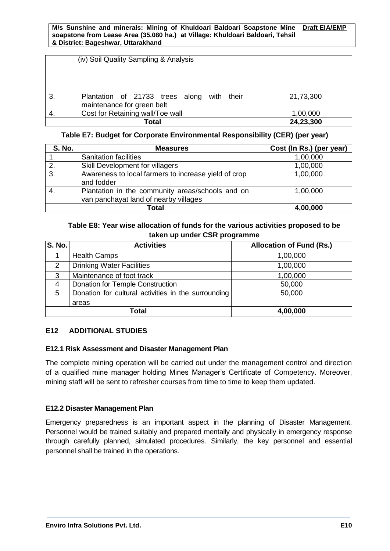#### **M/s Sunshine and minerals: Mining of Khuldoari Baldoari Soapstone Mine soapstone from Lease Area (35.080 ha.) at Village: Khuldoari Baldoari, Tehsil & District: Bageshwar, Uttarakhand Draft EIA/EMP**

|    | (iv) Soil Quality Sampling & Analysis                                       |           |
|----|-----------------------------------------------------------------------------|-----------|
| 3. | their<br>Plantation of 21733 trees along with<br>maintenance for green belt | 21,73,300 |
|    | Cost for Retaining wall/Toe wall                                            | 1,00,000  |
|    | Total                                                                       | 24,23,300 |

#### **Table E7: Budget for Corporate Environmental Responsibility (CER) (per year)**

| <b>S. No.</b> | <b>Measures</b>                                                                           | Cost (In Rs.) (per year) |
|---------------|-------------------------------------------------------------------------------------------|--------------------------|
|               | <b>Sanitation facilities</b>                                                              | 1,00,000                 |
| 2.            | Skill Development for villagers                                                           | 1,00,000                 |
| 3.            | Awareness to local farmers to increase yield of crop<br>and fodder                        | 1,00,000                 |
|               | Plantation in the community areas/schools and on<br>van panchayat land of nearby villages | 1,00,000                 |
|               | Total                                                                                     | 4,00,000                 |

#### **Table E8: Year wise allocation of funds for the various activities proposed to be taken up under CSR programme**

| <b>S. No.</b> | <b>Activities</b>                                   | <b>Allocation of Fund (Rs.)</b> |
|---------------|-----------------------------------------------------|---------------------------------|
|               | <b>Health Camps</b>                                 | 1,00,000                        |
| 2             | <b>Drinking Water Facilities</b>                    | 1,00,000                        |
| 3             | Maintenance of foot track                           | 1,00,000                        |
| 4             | Donation for Temple Construction                    | 50,000                          |
| 5             | Donation for cultural activities in the surrounding | 50,000                          |
|               | areas                                               |                                 |
| <b>Total</b>  |                                                     | 4,00,000                        |

#### **E12 ADDITIONAL STUDIES**

#### **E12.1 Risk Assessment and Disaster Management Plan**

The complete mining operation will be carried out under the management control and direction of a qualified mine manager holding Mines Manager's Certificate of Competency. Moreover, mining staff will be sent to refresher courses from time to time to keep them updated.

#### **E12.2 Disaster Management Plan**

Emergency preparedness is an important aspect in the planning of Disaster Management. Personnel would be trained suitably and prepared mentally and physically in emergency response through carefully planned, simulated procedures. Similarly, the key personnel and essential personnel shall be trained in the operations.